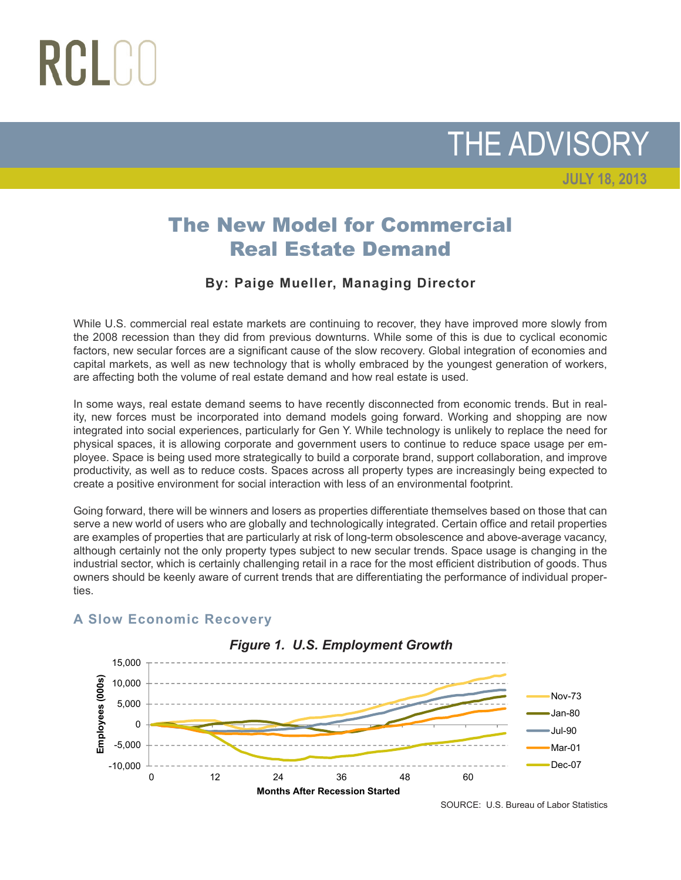## RCLCC

THE ADVISORY

**JULY 18, 2013**

The New Model for Commercial Real Estate Demand

## **By: Paige Mueller, Managing Director**

While U.S. commercial real estate markets are continuing to recover, they have improved more slowly from the 2008 recession than they did from previous downturns. While some of this is due to cyclical economic factors, new secular forces are a significant cause of the slow recovery. Global integration of economies and capital markets, as well as new technology that is wholly embraced by the youngest generation of workers, are affecting both the volume of real estate demand and how real estate is used.

In some ways, real estate demand seems to have recently disconnected from economic trends. But in reality, new forces must be incorporated into demand models going forward. Working and shopping are now integrated into social experiences, particularly for Gen Y. While technology is unlikely to replace the need for physical spaces, it is allowing corporate and government users to continue to reduce space usage per employee. Space is being used more strategically to build a corporate brand, support collaboration, and improve productivity, as well as to reduce costs. Spaces across all property types are increasingly being expected to create a positive environment for social interaction with less of an environmental footprint.

Going forward, there will be winners and losers as properties differentiate themselves based on those that can serve a new world of users who are globally and technologically integrated. Certain office and retail properties are examples of properties that are particularly at risk of long-term obsolescence and above-average vacancy, although certainly not the only property types subject to new secular trends. Space usage is changing in the industrial sector, which is certainly challenging retail in a race for the most efficient distribution of goods. Thus owners should be keenly aware of current trends that are differentiating the performance of individual properties.



## **A Slow Economic Recovery**

SOURCE: U.S. Bureau of Labor Statistics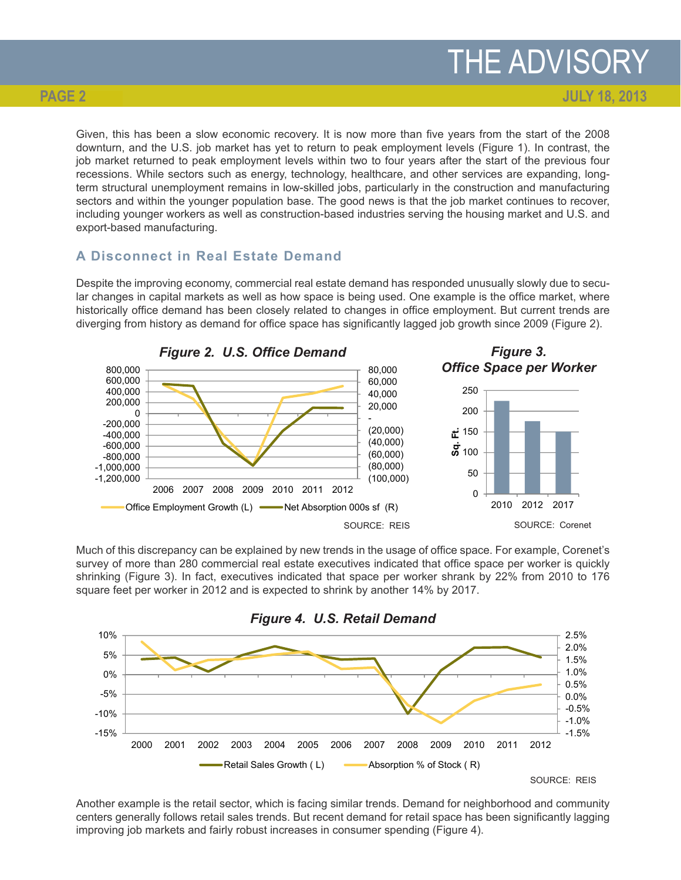**JULY 18, 2013**

Given, this has been a slow economic recovery. It is now more than five years from the start of the 2008 downturn, and the U.S. job market has yet to return to peak employment levels (Figure 1). In contrast, the job market returned to peak employment levels within two to four years after the start of the previous four recessions. While sectors such as energy, technology, healthcare, and other services are expanding, longterm structural unemployment remains in low-skilled jobs, particularly in the construction and manufacturing sectors and within the younger population base. The good news is that the job market continues to recover, including younger workers as well as construction-based industries serving the housing market and U.S. and export-based manufacturing.

## **A Disconnect in Real Estate Demand**

Despite the improving economy, commercial real estate demand has responded unusually slowly due to secular changes in capital markets as well as how space is being used. One example is the office market, where historically office demand has been closely related to changes in office employment. But current trends are diverging from history as demand for office space has significantly lagged job growth since 2009 (Figure 2).



Much of this discrepancy can be explained by new trends in the usage of office space. For example, Corenet's survey of more than 280 commercial real estate executives indicated that office space per worker is quickly shrinking (Figure 3). In fact, executives indicated that space per worker shrank by 22% from 2010 to 176 square feet per worker in 2012 and is expected to shrink by another 14% by 2017.



Another example is the retail sector, which is facing similar trends. Demand for neighborhood and community centers generally follows retail sales trends. But recent demand for retail space has been significantly lagging improving job markets and fairly robust increases in consumer spending (Figure 4).